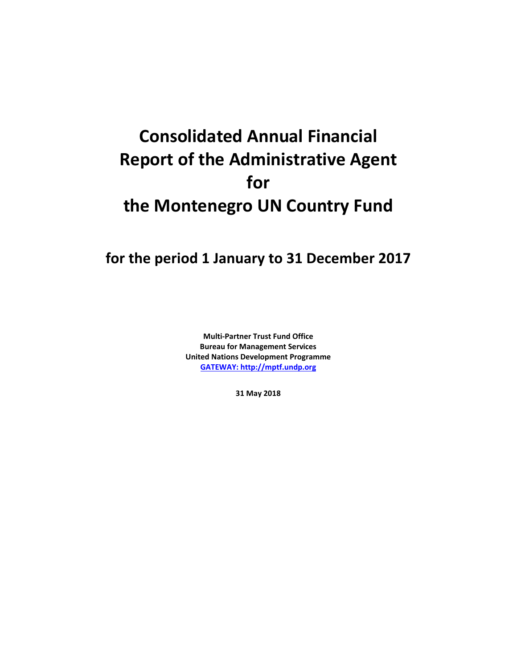# **Consolidated Annual Financial Report of the Administrative Agent for the Montenegro UN Country Fund**

# **for the period 1 January to 31 December 2017**

**Multi-Partner Trust Fund Office Bureau for Management Services United Nations Development Programme [GATEWAY: http://mptf.undp.org](http://mptf.undp.org/)**

**31 May 2018**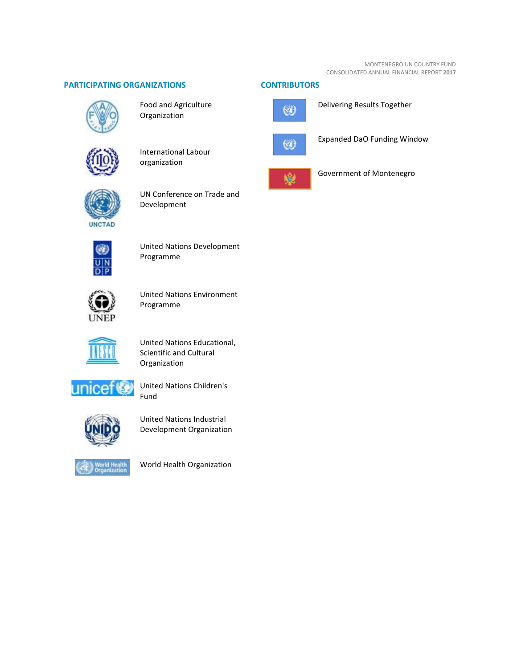# **PARTICIPATING ORGANIZATIONS CONTRIBUTORS**



Food and Agriculture Organization



International Labour organization



UN Conference on Trade and Development



United Nations Development Programme



United Nations Environment Programme



United Nations Educational, Scientific and Cultural Organization



United Nations Children's Fund



United Nations Industrial Development Organization



World Health Organization





Delivering Results Together



Expanded DaO Funding Window



Government of Montenegro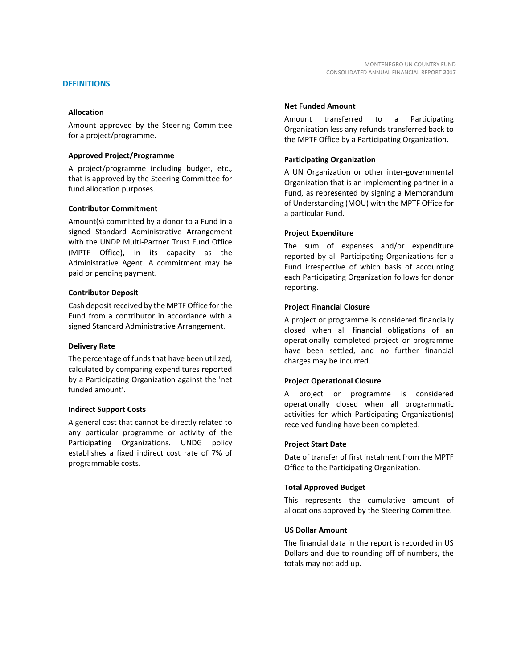#### **Allocation**

Amount approved by the Steering Committee for a project/programme.

#### **Approved Project/Programme**

A project/programme including budget, etc., that is approved by the Steering Committee for fund allocation purposes.

#### **Contributor Commitment**

Amount(s) committed by a donor to a Fund in a signed Standard Administrative Arrangement with the UNDP Multi-Partner Trust Fund Office (MPTF Office), in its capacity as the Administrative Agent. A commitment may be paid or pending payment.

#### **Contributor Deposit**

Cash deposit received by the MPTF Office for the Fund from a contributor in accordance with a signed Standard Administrative Arrangement.

#### **Delivery Rate**

The percentage of funds that have been utilized, calculated by comparing expenditures reported by a Participating Organization against the 'net funded amount'.

#### **Indirect Support Costs**

A general cost that cannot be directly related to any particular programme or activity of the Participating Organizations. UNDG policy establishes a fixed indirect cost rate of 7% of programmable costs.

#### **Net Funded Amount**

Amount transferred to a Participating Organization less any refunds transferred back to the MPTF Office by a Participating Organization.

#### **Participating Organization**

A UN Organization or other inter-governmental Organization that is an implementing partner in a Fund, as represented by signing a Memorandum of Understanding (MOU) with the MPTF Office for a particular Fund.

#### **Project Expenditure**

The sum of expenses and/or expenditure reported by all Participating Organizations for a Fund irrespective of which basis of accounting each Participating Organization follows for donor reporting.

#### **Project Financial Closure**

A project or programme is considered financially closed when all financial obligations of an operationally completed project or programme have been settled, and no further financial charges may be incurred.

#### **Project Operational Closure**

A project or programme is considered operationally closed when all programmatic activities for which Participating Organization(s) received funding have been completed.

#### **Project Start Date**

Date of transfer of first instalment from the MPTF Office to the Participating Organization.

#### **Total Approved Budget**

This represents the cumulative amount of allocations approved by the Steering Committee.

#### **US Dollar Amount**

The financial data in the report is recorded in US Dollars and due to rounding off of numbers, the totals may not add up.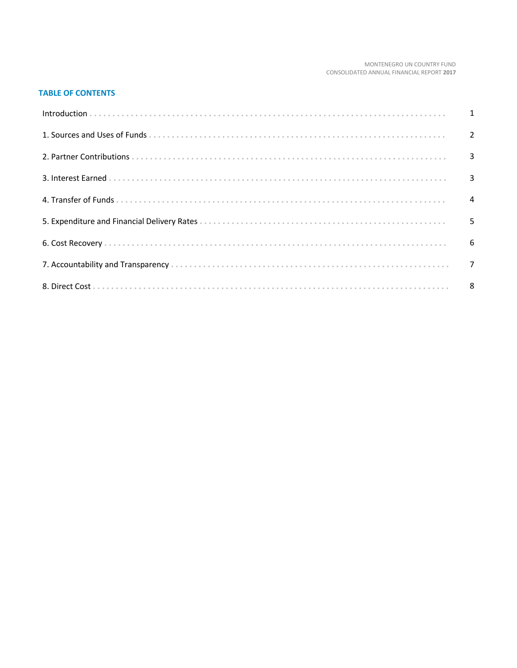#### MONTENEGRO UN COUNTRY FUND CONSOLIDATED ANNUAL FINANCIAL REPORT 2017

# **TABLE OF CONTENTS**

| Introduction 1 1 |  |
|------------------|--|
|                  |  |
|                  |  |
|                  |  |
|                  |  |
|                  |  |
|                  |  |
|                  |  |
|                  |  |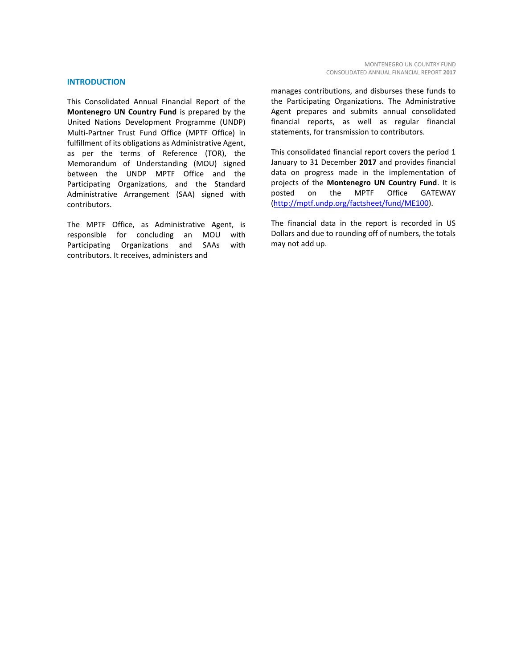#### **INTRODUCTION**

This Consolidated Annual Financial Report of the **Montenegro UN Country Fund** is prepared by the United Nations Development Programme (UNDP) Multi-Partner Trust Fund Office (MPTF Office) in fulfillment of its obligations as Administrative Agent, as per the terms of Reference (TOR), the Memorandum of Understanding (MOU) signed between the UNDP MPTF Office and the Participating Organizations, and the Standard Administrative Arrangement (SAA) signed with contributors.

The MPTF Office, as Administrative Agent, is responsible for concluding an MOU with Participating Organizations and SAAs with contributors. It receives, administers and

manages contributions, and disburses these funds to the Participating Organizations. The Administrative Agent prepares and submits annual consolidated financial reports, as well as regular financial statements, for transmission to contributors.

This consolidated financial report covers the period 1 January to 31 December **2017** and provides financial data on progress made in the implementation of projects of the **Montenegro UN Country Fund**. It is posted on the MPTF Office GATEWAY [\(http://mptf.undp.org/factsheet/fund/ME100\)](http://mptf.undp.org/factsheet/fund/ME100).

The financial data in the report is recorded in US Dollars and due to rounding off of numbers, the totals may not add up.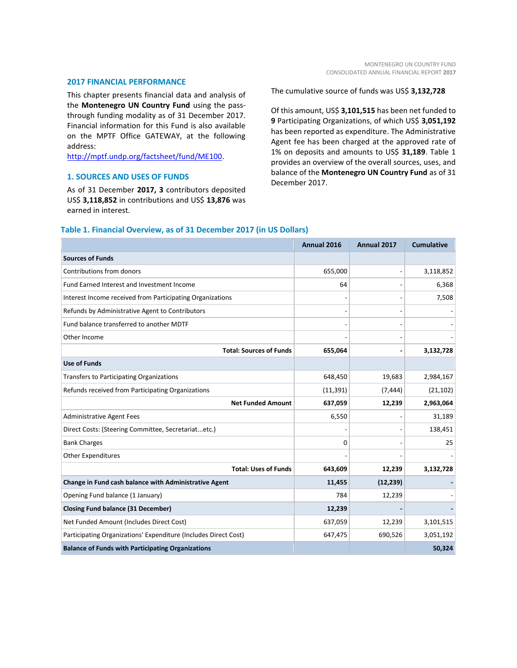#### **2017 FINANCIAL PERFORMANCE**

This chapter presents financial data and analysis of the **Montenegro UN Country Fund** using the passthrough funding modality as of 31 December 2017. Financial information for this Fund is also available on the MPTF Office GATEWAY, at the following address:

[http://mptf.undp.org/factsheet/fund/ME100.](http://mptf.undp.org/factsheet/fund/ME100)

# **1. SOURCES AND USES OF FUNDS**

As of 31 December **2017, 3** contributors deposited US\$ **3,118,852** in contributions and US\$ **13,876** was earned in interest.

The cumulative source of funds was US\$ **3,132,728**

Of this amount, US\$ **3,101,515** has been net funded to **9** Participating Organizations, of which US\$ **3,051,192** has been reported as expenditure. The Administrative Agent fee has been charged at the approved rate of 1% on deposits and amounts to US\$ **31,189**. Table 1 provides an overview of the overall sources, uses, and balance of the **Montenegro UN Country Fund** as of 31 December 2017.

|                                                                 | Annual 2016 | Annual 2017    | <b>Cumulative</b> |
|-----------------------------------------------------------------|-------------|----------------|-------------------|
| <b>Sources of Funds</b>                                         |             |                |                   |
| Contributions from donors                                       | 655,000     | $\overline{a}$ | 3,118,852         |
| Fund Earned Interest and Investment Income                      | 64          |                | 6,368             |
| Interest Income received from Participating Organizations       |             |                | 7,508             |
| Refunds by Administrative Agent to Contributors                 |             |                |                   |
| Fund balance transferred to another MDTF                        |             |                |                   |
| Other Income                                                    |             |                |                   |
| <b>Total: Sources of Funds</b>                                  | 655,064     | $\overline{a}$ | 3,132,728         |
| <b>Use of Funds</b>                                             |             |                |                   |
| <b>Transfers to Participating Organizations</b>                 | 648,450     | 19,683         | 2,984,167         |
| Refunds received from Participating Organizations               | (11, 391)   | (7, 444)       | (21, 102)         |
| <b>Net Funded Amount</b>                                        | 637,059     | 12,239         | 2,963,064         |
| <b>Administrative Agent Fees</b>                                | 6,550       |                | 31,189            |
| Direct Costs: (Steering Committee, Secretariatetc.)             |             |                | 138,451           |
| <b>Bank Charges</b>                                             | 0           |                | 25                |
| <b>Other Expenditures</b>                                       |             |                |                   |
| <b>Total: Uses of Funds</b>                                     | 643,609     | 12,239         | 3,132,728         |
| Change in Fund cash balance with Administrative Agent           | 11,455      | (12, 239)      |                   |
| Opening Fund balance (1 January)                                | 784         | 12,239         |                   |
| <b>Closing Fund balance (31 December)</b>                       | 12,239      |                |                   |
| Net Funded Amount (Includes Direct Cost)                        | 637,059     | 12,239         | 3,101,515         |
| Participating Organizations' Expenditure (Includes Direct Cost) | 647,475     | 690,526        | 3,051,192         |
| <b>Balance of Funds with Participating Organizations</b>        |             |                | 50,324            |

# **Table 1. Financial Overview, as of 31 December 2017 (in US Dollars)**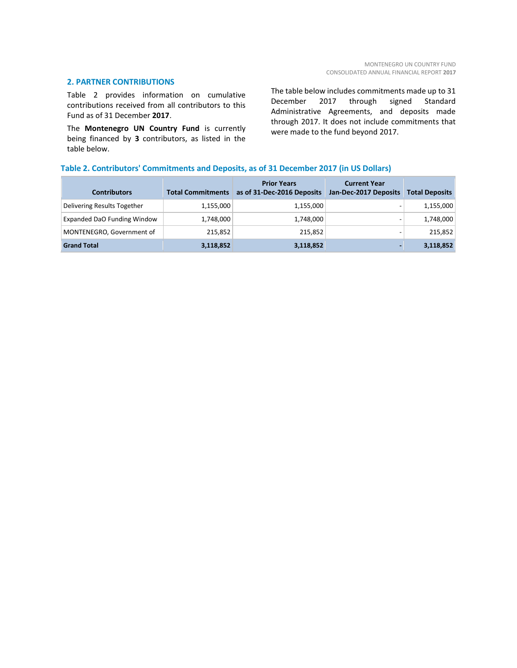#### **2. PARTNER CONTRIBUTIONS**

Table 2 provides information on cumulative contributions received from all contributors to this Fund as of 31 December **2017**.

The **Montenegro UN Country Fund** is currently being financed by **3** contributors, as listed in the table below.

The table below includes commitments made up to 31 December 2017 through signed Standard Administrative Agreements, and deposits made through 2017. It does not include commitments that were made to the fund beyond 2017.

# **Table 2. Contributors' Commitments and Deposits, as of 31 December 2017 (in US Dollars)**

| <b>Contributors</b>         | <b>Total Commitments</b> | <b>Prior Years</b><br>as of 31-Dec-2016 Deposits | <b>Current Year</b><br>Jan-Dec-2017 Deposits | <b>Total Deposits</b> |
|-----------------------------|--------------------------|--------------------------------------------------|----------------------------------------------|-----------------------|
| Delivering Results Together | 1,155,000                | 1,155,000                                        | $\overline{\phantom{0}}$                     | 1,155,000             |
| Expanded DaO Funding Window | 1,748,000                | 1,748,000                                        | $\overline{\phantom{0}}$                     | 1,748,000             |
| MONTENEGRO, Government of   | 215,852                  | 215,852                                          |                                              | 215,852               |
| <b>Grand Total</b>          | 3,118,852                | 3,118,852                                        | $\overline{\phantom{a}}$                     | 3,118,852             |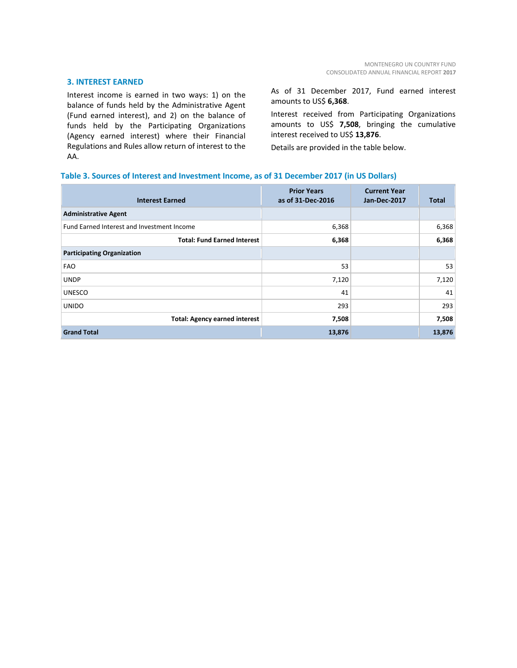#### **3. INTEREST EARNED**

Interest income is earned in two ways: 1) on the balance of funds held by the Administrative Agent (Fund earned interest), and 2) on the balance of funds held by the Participating Organizations (Agency earned interest) where their Financial Regulations and Rules allow return of interest to the AA.

As of 31 December 2017, Fund earned interest amounts to US\$ **6,368**.

Interest received from Participating Organizations amounts to US\$ **7,508**, bringing the cumulative interest received to US\$ **13,876**.

Details are provided in the table below.

# **Table 3. Sources of Interest and Investment Income, as of 31 December 2017 (in US Dollars)**

| <b>Interest Earned</b>                     | <b>Prior Years</b><br>as of 31-Dec-2016 | <b>Current Year</b><br>Jan-Dec-2017 | Total  |
|--------------------------------------------|-----------------------------------------|-------------------------------------|--------|
| <b>Administrative Agent</b>                |                                         |                                     |        |
| Fund Earned Interest and Investment Income | 6,368                                   |                                     | 6,368  |
| <b>Total: Fund Earned Interest</b>         | 6,368                                   |                                     | 6,368  |
| <b>Participating Organization</b>          |                                         |                                     |        |
| <b>FAO</b>                                 | 53                                      |                                     | 53     |
| <b>UNDP</b>                                | 7,120                                   |                                     | 7,120  |
| <b>UNESCO</b>                              | 41                                      |                                     | 41     |
| <b>UNIDO</b>                               | 293                                     |                                     | 293    |
| <b>Total: Agency earned interest</b>       | 7,508                                   |                                     | 7,508  |
| <b>Grand Total</b>                         | 13,876                                  |                                     | 13,876 |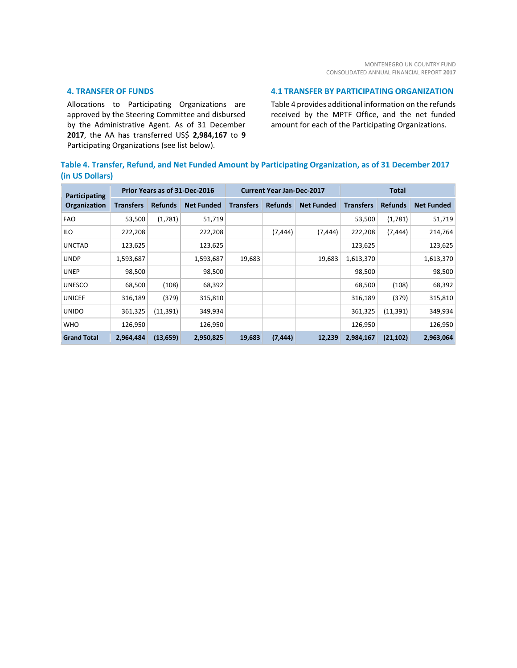# **4. TRANSFER OF FUNDS**

Allocations to Participating Organizations are approved by the Steering Committee and disbursed by the Administrative Agent. As of 31 December **2017**, the AA has transferred US\$ **2,984,167** to **9** Participating Organizations (see list below).

#### **4.1 TRANSFER BY PARTICIPATING ORGANIZATION**

Table 4 provides additional information on the refunds received by the MPTF Office, and the net funded amount for each of the Participating Organizations.

# **Table 4. Transfer, Refund, and Net Funded Amount by Participating Organization, as of 31 December 2017 (in US Dollars)**

| Participating<br>Organization | Prior Years as of 31-Dec-2016 |                |                   | <b>Current Year Jan-Dec-2017</b> |                |                   |                  | <b>Total</b>   |                   |
|-------------------------------|-------------------------------|----------------|-------------------|----------------------------------|----------------|-------------------|------------------|----------------|-------------------|
|                               | Transfers                     | <b>Refunds</b> | <b>Net Funded</b> | <b>Transfers</b>                 | <b>Refunds</b> | <b>Net Funded</b> | <b>Transfers</b> | <b>Refunds</b> | <b>Net Funded</b> |
| <b>FAO</b>                    | 53,500                        | (1,781)        | 51,719            |                                  |                |                   | 53,500           | (1,781)        | 51,719            |
| ILO                           | 222,208                       |                | 222,208           |                                  | (7, 444)       | (7, 444)          | 222,208          | (7, 444)       | 214,764           |
| <b>UNCTAD</b>                 | 123,625                       |                | 123,625           |                                  |                |                   | 123,625          |                | 123,625           |
| <b>UNDP</b>                   | 1,593,687                     |                | 1,593,687         | 19,683                           |                | 19,683            | 1,613,370        |                | 1,613,370         |
| <b>UNEP</b>                   | 98,500                        |                | 98,500            |                                  |                |                   | 98,500           |                | 98,500            |
| <b>UNESCO</b>                 | 68,500                        | (108)          | 68,392            |                                  |                |                   | 68,500           | (108)          | 68,392            |
| <b>UNICEF</b>                 | 316,189                       | (379)          | 315,810           |                                  |                |                   | 316,189          | (379)          | 315,810           |
| <b>UNIDO</b>                  | 361,325                       | (11, 391)      | 349,934           |                                  |                |                   | 361,325          | (11, 391)      | 349,934           |
| <b>WHO</b>                    | 126,950                       |                | 126,950           |                                  |                |                   | 126,950          |                | 126,950           |
| <b>Grand Total</b>            | 2,964,484                     | (13, 659)      | 2,950,825         | 19,683                           | (7, 444)       | 12,239            | 2,984,167        | (21, 102)      | 2,963,064         |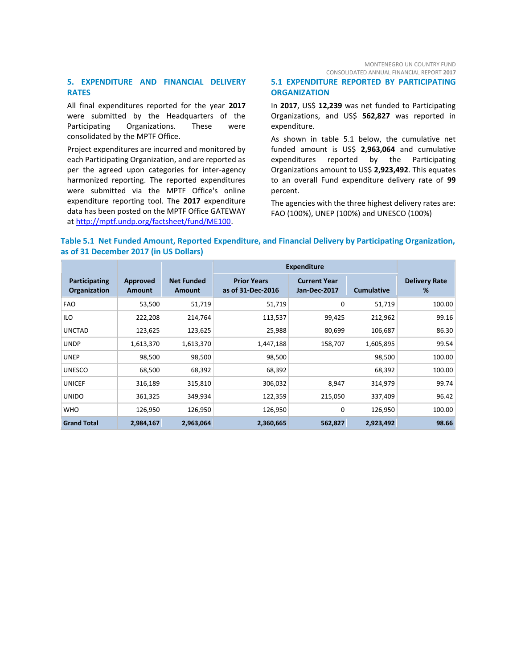MONTENEGRO UN COUNTRY FUND CONSOLIDATED ANNUAL FINANCIAL REPORT **2017**

# **5. EXPENDITURE AND FINANCIAL DELIVERY RATES**

All final expenditures reported for the year **2017** were submitted by the Headquarters of the Participating Organizations. These were consolidated by the MPTF Office.

Project expenditures are incurred and monitored by each Participating Organization, and are reported as per the agreed upon categories for inter-agency harmonized reporting. The reported expenditures were submitted via the MPTF Office's online expenditure reporting tool. The **2017** expenditure data has been posted on the MPTF Office GATEWAY at [http://mptf.undp.org/factsheet/fund/ME100.](http://mptf.undp.org/factsheet/fund/ME100)

# **5.1 EXPENDITURE REPORTED BY PARTICIPATING ORGANIZATION**

In **2017**, US\$ **12,239** was net funded to Participating Organizations, and US\$ **562,827** was reported in expenditure.

As shown in table 5.1 below, the cumulative net funded amount is US\$ **2,963,064** and cumulative expenditures reported by the Participating Organizations amount to US\$ **2,923,492**. This equates to an overall Fund expenditure delivery rate of **99** percent.

The agencies with the three highest delivery rates are: FAO (100%), UNEP (100%) and UNESCO (100%)

# **Table 5.1 Net Funded Amount, Reported Expenditure, and Financial Delivery by Participating Organization, as of 31 December 2017 (in US Dollars)**

|                               |                    |                                    | <b>Expenditure</b>                      |                                     |                   |                           |
|-------------------------------|--------------------|------------------------------------|-----------------------------------------|-------------------------------------|-------------------|---------------------------|
| Participating<br>Organization | Approved<br>Amount | <b>Net Funded</b><br><b>Amount</b> | <b>Prior Years</b><br>as of 31-Dec-2016 | <b>Current Year</b><br>Jan-Dec-2017 | <b>Cumulative</b> | <b>Delivery Rate</b><br>% |
| <b>FAO</b>                    | 53,500             | 51,719                             | 51,719                                  | 0                                   | 51,719            | 100.00                    |
| ILO                           | 222,208            | 214,764                            | 113,537                                 | 99,425                              | 212,962           | 99.16                     |
| <b>UNCTAD</b>                 | 123,625            | 123,625                            | 25,988                                  | 80,699                              | 106,687           | 86.30                     |
| <b>UNDP</b>                   | 1,613,370          | 1,613,370                          | 1,447,188                               | 158,707                             | 1,605,895         | 99.54                     |
| <b>UNEP</b>                   | 98,500             | 98,500                             | 98,500                                  |                                     | 98,500            | 100.00                    |
| <b>UNESCO</b>                 | 68,500             | 68,392                             | 68,392                                  |                                     | 68,392            | 100.00                    |
| <b>UNICEF</b>                 | 316,189            | 315,810                            | 306,032                                 | 8,947                               | 314,979           | 99.74                     |
| <b>UNIDO</b>                  | 361,325            | 349,934                            | 122,359                                 | 215,050                             | 337,409           | 96.42                     |
| <b>WHO</b>                    | 126,950            | 126,950                            | 126,950                                 | $\mathbf 0$                         | 126,950           | 100.00                    |
| <b>Grand Total</b>            | 2,984,167          | 2,963,064                          | 2,360,665                               | 562,827                             | 2,923,492         | 98.66                     |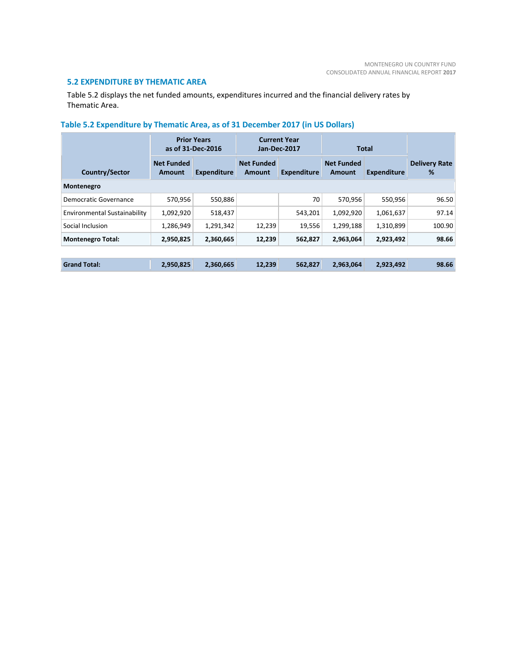# **5.2 EXPENDITURE BY THEMATIC AREA**

Table 5.2 displays the net funded amounts, expenditures incurred and the financial delivery rates by Thematic Area.

|                                     |                             | <b>Prior Years</b><br>as of 31-Dec-2016 |                             | <b>Current Year</b><br>Jan-Dec-2017 |                             | <b>Total</b>       |                           |
|-------------------------------------|-----------------------------|-----------------------------------------|-----------------------------|-------------------------------------|-----------------------------|--------------------|---------------------------|
| Country/Sector                      | <b>Net Funded</b><br>Amount | <b>Expenditure</b>                      | <b>Net Funded</b><br>Amount | <b>Expenditure</b>                  | <b>Net Funded</b><br>Amount | <b>Expenditure</b> | <b>Delivery Rate</b><br>% |
| Montenegro                          |                             |                                         |                             |                                     |                             |                    |                           |
| Democratic Governance               | 570,956                     | 550,886                                 |                             | 70                                  | 570.956                     | 550.956            | 96.50                     |
| <b>Environmental Sustainability</b> | 1,092,920                   | 518,437                                 |                             | 543,201                             | 1,092,920                   | 1,061,637          | 97.14                     |
| Social Inclusion                    | 1,286,949                   | 1,291,342                               | 12,239                      | 19,556                              | 1,299,188                   | 1,310,899          | 100.90                    |
| <b>Montenegro Total:</b>            | 2,950,825                   | 2,360,665                               | 12,239                      | 562,827                             | 2,963,064                   | 2,923,492          | 98.66                     |
|                                     |                             |                                         |                             |                                     |                             |                    |                           |
| <b>Grand Total:</b>                 | 2,950,825                   | 2,360,665                               | 12,239                      | 562,827                             | 2.963.064                   | 2,923,492          | 98.66                     |

# **Table 5.2 Expenditure by Thematic Area, as of 31 December 2017 (in US Dollars)**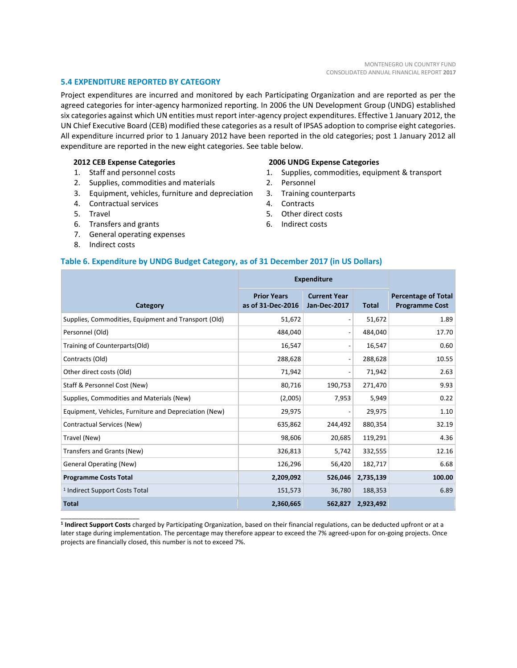#### **5.4 EXPENDITURE REPORTED BY CATEGORY**

Project expenditures are incurred and monitored by each Participating Organization and are reported as per the agreed categories for inter-agency harmonized reporting. In 2006 the UN Development Group (UNDG) established six categories against which UN entities must report inter-agency project expenditures. Effective 1 January 2012, the UN Chief Executive Board (CEB) modified these categories as a result of IPSAS adoption to comprise eight categories. All expenditure incurred prior to 1 January 2012 have been reported in the old categories; post 1 January 2012 all expenditure are reported in the new eight categories. See table below.

#### **2012 CEB Expense Categories**

- 1. Staff and personnel costs
- 2. Supplies, commodities and materials
- 3. Equipment, vehicles, furniture and depreciation
- 4. Contractual services
- 5. Travel
- 6. Transfers and grants
- 7. General operating expenses
- 8. Indirect costs

\_\_\_\_\_\_\_\_\_\_\_\_\_\_\_\_\_\_\_\_\_\_

#### **2006 UNDG Expense Categories**

- 1. Supplies, commodities, equipment & transport
- 2. Personnel
- 3. Training counterparts
- 4. Contracts
- 5. Other direct costs
- 6. Indirect costs

#### **Table 6. Expenditure by UNDG Budget Category, as of 31 December 2017 (in US Dollars)**

|                                                       | <b>Expenditure</b>                      |                                     |              |                                                     |
|-------------------------------------------------------|-----------------------------------------|-------------------------------------|--------------|-----------------------------------------------------|
| Category                                              | <b>Prior Years</b><br>as of 31-Dec-2016 | <b>Current Year</b><br>Jan-Dec-2017 | <b>Total</b> | <b>Percentage of Total</b><br><b>Programme Cost</b> |
| Supplies, Commodities, Equipment and Transport (Old)  | 51,672                                  | $\overline{a}$                      | 51,672       | 1.89                                                |
| Personnel (Old)                                       | 484,040                                 | $\overline{\phantom{0}}$            | 484,040      | 17.70                                               |
| Training of Counterparts(Old)                         | 16,547                                  | $\overline{\phantom{0}}$            | 16,547       | 0.60                                                |
| Contracts (Old)                                       | 288,628                                 | $\overline{a}$                      | 288,628      | 10.55                                               |
| Other direct costs (Old)                              | 71,942                                  | $\overline{a}$                      | 71,942       | 2.63                                                |
| Staff & Personnel Cost (New)                          | 80,716                                  | 190,753                             | 271,470      | 9.93                                                |
| Supplies, Commodities and Materials (New)             | (2,005)                                 | 7,953                               | 5,949        | 0.22                                                |
| Equipment, Vehicles, Furniture and Depreciation (New) | 29,975                                  |                                     | 29,975       | 1.10                                                |
| Contractual Services (New)                            | 635,862                                 | 244,492                             | 880,354      | 32.19                                               |
| Travel (New)                                          | 98,606                                  | 20,685                              | 119,291      | 4.36                                                |
| Transfers and Grants (New)                            | 326,813                                 | 5,742                               | 332,555      | 12.16                                               |
| <b>General Operating (New)</b>                        | 126,296                                 | 56,420                              | 182,717      | 6.68                                                |
| <b>Programme Costs Total</b>                          | 2,209,092                               | 526,046                             | 2,735,139    | 100.00                                              |
| <sup>1</sup> Indirect Support Costs Total             | 151,573                                 | 36,780                              | 188,353      | 6.89                                                |
| <b>Total</b>                                          | 2,360,665                               | 562,827                             | 2,923,492    |                                                     |

**1 Indirect Support Costs** charged by Participating Organization, based on their financial regulations, can be deducted upfront or at a later stage during implementation. The percentage may therefore appear to exceed the 7% agreed-upon for on-going projects. Once projects are financially closed, this number is not to exceed 7%.